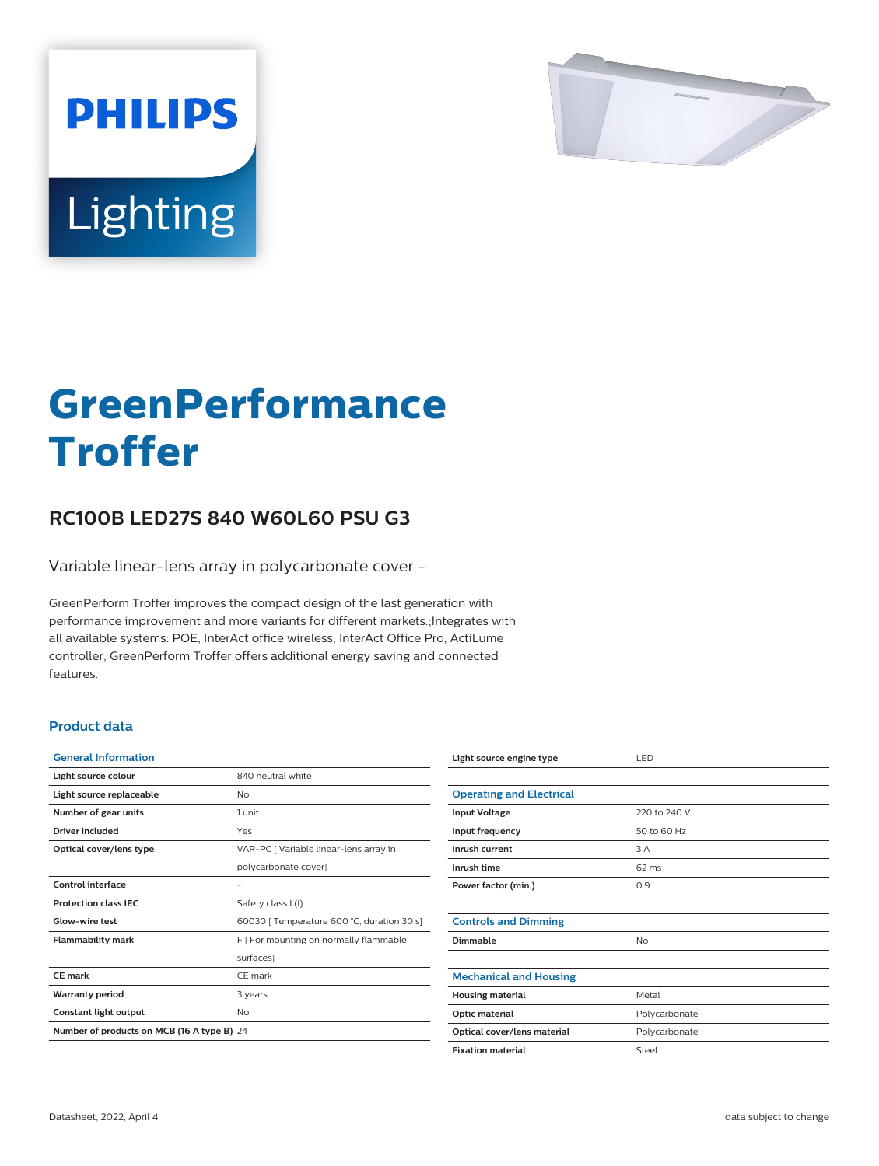

# Lighting

**PHILIPS** 

# **GreenPerformance Troffer**

## **RC100B LED27S 840 W60L60 PSU G3**

Variable linear-lens array in polycarbonate cover -

GreenPerform Troffer improves the compact design of the last generation with performance improvement and more variants for different markets.;Integrates with all available systems: POE, InterAct office wireless, InterAct Office Pro, ActiLume controller, GreenPerform Troffer offers additional energy saving and connected features.

#### **Product data**

| <b>General Information</b>                 |                                            |  |
|--------------------------------------------|--------------------------------------------|--|
| Light source colour                        | 840 neutral white                          |  |
| Light source replaceable                   | Nο                                         |  |
| Number of gear units                       | 1 unit                                     |  |
| Driver included                            | Yes                                        |  |
| Optical cover/lens type                    | VAR-PC [ Variable linear-lens array in     |  |
|                                            | polycarbonate cover]                       |  |
| Control interface                          |                                            |  |
| <b>Protection class IEC</b>                | Safety class I (I)                         |  |
| Glow-wire test                             | 60030 [ Temperature 600 °C, duration 30 s] |  |
| <b>Flammability mark</b>                   | F   For mounting on normally flammable     |  |
|                                            | surfaces]                                  |  |
| CE mark                                    | CE mark                                    |  |
| <b>Warranty period</b>                     | 3 years                                    |  |
| Constant light output                      | No                                         |  |
| Number of products on MCB (16 A type B) 24 |                                            |  |

| Light source engine type        | LED             |
|---------------------------------|-----------------|
|                                 |                 |
| <b>Operating and Electrical</b> |                 |
| <b>Input Voltage</b>            | 220 to 240 V    |
| Input frequency                 | 50 to 60 Hz     |
| Inrush current                  | 3 A             |
| Inrush time                     | $62 \text{ ms}$ |
| Power factor (min.)             | 0.9             |
|                                 |                 |
| <b>Controls and Dimming</b>     |                 |
| Dimmable                        | No              |
|                                 |                 |
| <b>Mechanical and Housing</b>   |                 |
| <b>Housing material</b>         | Metal           |
| Optic material                  | Polycarbonate   |
| Optical cover/lens material     | Polycarbonate   |
| <b>Fixation material</b>        | Steel           |
|                                 |                 |